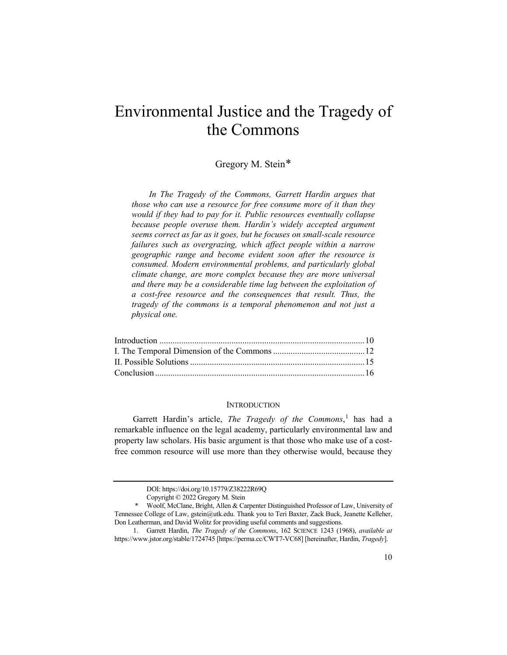# Environmental Justice and the Tragedy of the Commons

# Gregory M. Stein[\\*](#page-0-0)

*In The Tragedy of the Commons, Garrett Hardin argues that those who can use a resource for free consume more of it than they would if they had to pay for it. Public resources eventually collapse because people overuse them. Hardin's widely accepted argument seems correct as far as it goes, but he focuses on small-scale resource failures such as overgrazing, which affect people within a narrow geographic range and become evident soon after the resource is consumed. Modern environmental problems, and particularly global climate change, are more complex because they are more universal and there may be a considerable time lag between the exploitation of a cost-free resource and the consequences that result. Thus, the tragedy of the commons is a temporal phenomenon and not just a physical one.*

#### <span id="page-0-2"></span>**INTRODUCTION**

Garrett Hardin's article, *The Tragedy of the Commons*, [1](#page-0-1) has had a remarkable influence on the legal academy, particularly environmental law and property law scholars. His basic argument is that those who make use of a costfree common resource will use more than they otherwise would, because they

DOI: https://doi.org/10.15779/Z38222R69Q

Copyright © 2022 Gregory M. Stein

<span id="page-0-0"></span><sup>\*</sup> Woolf, McClane, Bright, Allen & Carpenter Distinguished Professor of Law, University of Tennessee College of Law, gstein@utk.edu. Thank you to Teri Baxter, Zack Buck, Jeanette Kelleher, Don Leatherman, and David Wolitz for providing useful comments and suggestions.

<span id="page-0-1"></span><sup>1.</sup> Garrett Hardin, *The Tragedy of the Commons*, 162 SCIENCE 1243 (1968), *available at* https://www.jstor.org/stable/1724745 [https://perma.cc/CWT7-VC68] [hereinafter, Hardin, *Tragedy*].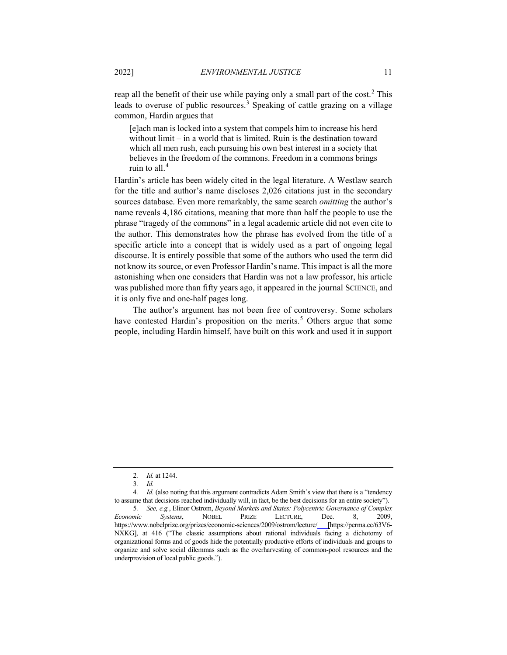reap all the benefit of their use while paying only a small part of the cost.<sup>[2](#page-1-0)</sup> This leads to overuse of public resources.<sup>[3](#page-1-1)</sup> Speaking of cattle grazing on a village common, Hardin argues that

[e]ach man is locked into a system that compels him to increase his herd without limit – in a world that is limited. Ruin is the destination toward which all men rush, each pursuing his own best interest in a society that believes in the freedom of the commons. Freedom in a commons brings ruin to all. $<sup>4</sup>$  $<sup>4</sup>$  $<sup>4</sup>$ </sup>

Hardin's article has been widely cited in the legal literature. A Westlaw search for the title and author's name discloses 2,026 citations just in the secondary sources database. Even more remarkably, the same search *omitting* the author's name reveals 4,186 citations, meaning that more than half the people to use the phrase "tragedy of the commons" in a legal academic article did not even cite to the author. This demonstrates how the phrase has evolved from the title of a specific article into a concept that is widely used as a part of ongoing legal discourse. It is entirely possible that some of the authors who used the term did not know its source, or even Professor Hardin's name. This impact is all the more astonishing when one considers that Hardin was not a law professor, his article was published more than fifty years ago, it appeared in the journal SCIENCE, and it is only five and one-half pages long.

The author's argument has not been free of controversy. Some scholars have contested Hardin's proposition on the merits.<sup>[5](#page-1-3)</sup> Others argue that some people, including Hardin himself, have built on this work and used it in support

<sup>2</sup>*. Id.* at 1244.

<sup>3</sup>*. Id.*

<span id="page-1-2"></span><span id="page-1-1"></span><span id="page-1-0"></span><sup>4</sup>*. Id.* (also noting that this argument contradicts Adam Smith's view that there is a "tendency to assume that decisions reached individually will, in fact, be the best decisions for an entire society").

<span id="page-1-3"></span><sup>5</sup>*. See, e.g.*, Elinor Ostrom, *Beyond Markets and States: Polycentric Governance of Complex Economic Systems*, NOBEL PRIZE LECTURE, Dec. 8, 2009, https://www.nobelprize.org/prizes/economic-sciences/2009/ostrom/lecture/ [https://perma.cc/63V6- NXKG], at 416 ("The classic assumptions about rational individuals facing a dichotomy of organizational forms and of goods hide the potentially productive efforts of individuals and groups to organize and solve social dilemmas such as the overharvesting of common-pool resources and the underprovision of local public goods.").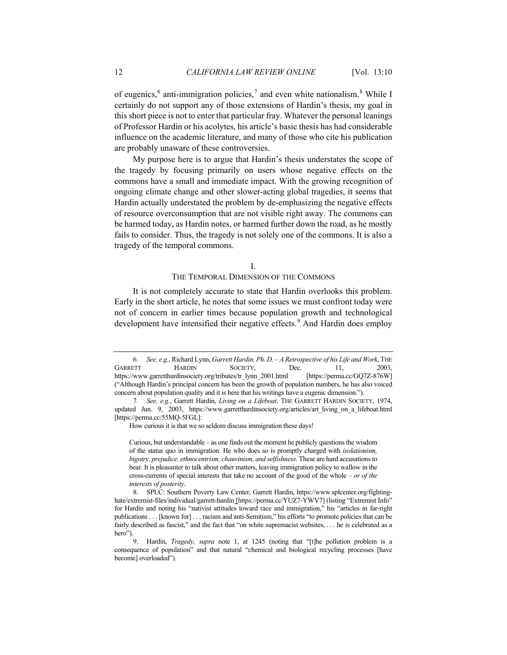of eugenics,<sup>[6](#page-2-0)</sup> anti-immigration policies,<sup>[7](#page-2-1)</sup> and even white nationalism.<sup>[8](#page-2-2)</sup> While I certainly do not support any of those extensions of Hardin's thesis, my goal in this short piece is not to enter that particular fray. Whatever the personal leanings of Professor Hardin or his acolytes, his article's basic thesis has had considerable influence on the academic literature, and many of those who cite his publication are probably unaware of these controversies.

My purpose here is to argue that Hardin's thesis understates the scope of the tragedy by focusing primarily on users whose negative effects on the commons have a small and immediate impact. With the growing recognition of ongoing climate change and other slower-acting global tragedies, it seems that Hardin actually understated the problem by de-emphasizing the negative effects of resource overconsumption that are not visible right away. The commons can be harmed today, as Hardin notes, or harmed further down the road, as he mostly fails to consider. Thus, the tragedy is not solely one of the commons. It is also a tragedy of the temporal commons.

#### I.

### THE TEMPORAL DIMENSION OF THE COMMONS

It is not completely accurate to state that Hardin overlooks this problem. Early in the short article, he notes that some issues we must confront today were not of concern in earlier times because population growth and technological development have intensified their negative effects.<sup>[9](#page-2-3)</sup> And Hardin does employ

Curious, but understandable – as one finds out the moment he publicly questions the wisdom of the status quo in immigration. He who does so is promptly charged with *isolationism, bigotry, prejudice, ethnocentrism, chauvinism, and selfishness*. These are hard accusations to bear. It is pleasanter to talk about other matters, leaving immigration policy to wallow in the cross-currents of special interests that take no account of the good of the whole – *or of the interests of posterity*.

<span id="page-2-0"></span><sup>6</sup>*. See, e.g.*, Richard Lynn, *Garrett Hardin, Ph. D. – A Retrospective of his Life and Work*, THE GARRETT HARDIN SOCIETY, Dec. 11, 2003, https://www.garretthardinsociety.org/tributes/tr\_lynn\_2001.html [https://perma.cc/GQ7Z-876W] ("Although Hardin's principal concern has been the growth of population numbers, he has also voiced concern about population quality and it is here that his writings have a eugenic dimension.").

<span id="page-2-1"></span><sup>7</sup>*. See, e.g.*, Garrett Hardin, *Living on a Lifeboat*, THE GARRETT HARDIN SOCIETY, 1974, updated Jun. 9, 2003, https://www.garretthardinsociety.org/articles/art\_living\_on\_a\_lifeboat.html [https://perma.cc/55MQ-5FGL]:

How curious it is that we so seldom discuss immigration these days!

<span id="page-2-2"></span> <sup>8.</sup> SPLC: Southern Poverty Law Center, Garrett Hardin, https://www.splcenter.org/fightinghate/extremist-files/individual/garrett-hardin [https://perma.cc/YUZ7-YWV7] (listing "Extremist Info" for Hardin and noting his "nativist attitudes toward race and immigration," his "articles in far-right publications . . . [known for] . . . racism and anti-Semitism," his efforts "to promote policies that can be fairly described as fascist," and the fact that "on white supremacist websites, . . . he is celebrated as a hero").

<span id="page-2-3"></span> <sup>9.</sup> Hardin, *Tragedy, supra* note [1,](#page-0-2) at 1245 (noting that "[t]he pollution problem is a consequence of population" and that natural "chemical and biological recycling processes [have become] overloaded").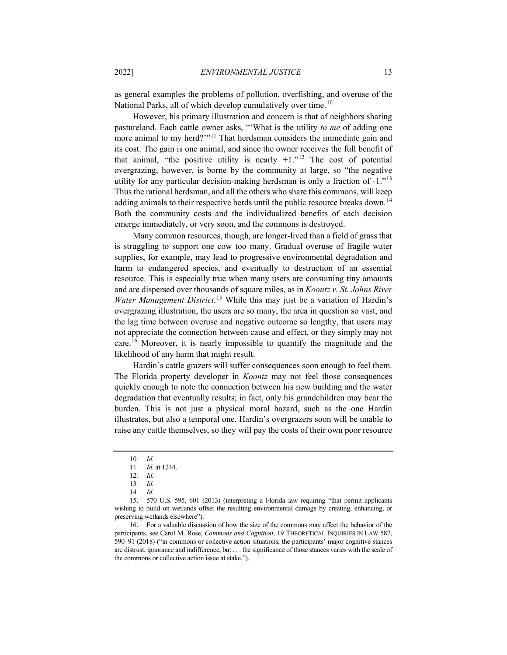as general examples the problems of pollution, overfishing, and overuse of the National Parks, all of which develop cumulatively over time.<sup>[10](#page-3-0)</sup>

However, his primary illustration and concern is that of neighbors sharing pastureland. Each cattle owner asks, "'What is the utility *to me* of adding one more animal to my herd?'"<sup>[11](#page-3-1)</sup> That herdsman considers the immediate gain and its cost. The gain is one animal, and since the owner receives the full benefit of that animal, "the positive utility is nearly  $+1$ ."<sup>[12](#page-3-2)</sup> The cost of potential overgrazing, however, is borne by the community at large, so "the negative utility for any particular decision-making herdsman is only a fraction of  $-1.^{13}$  $-1.^{13}$  $-1.^{13}$ Thus the rational herdsman, and all the others who share this commons, will keep adding animals to their respective herds until the public resource breaks down.[14](#page-3-4) Both the community costs and the individualized benefits of each decision emerge immediately, or very soon, and the commons is destroyed.

Many common resources, though, are longer-lived than a field of grass that is struggling to support one cow too many. Gradual overuse of fragile water supplies, for example, may lead to progressive environmental degradation and harm to endangered species, and eventually to destruction of an essential resource. This is especially true when many users are consuming tiny amounts and are dispersed over thousands of square miles, as in *Koontz v. St. Johns River Water Management District*. [15](#page-3-5) While this may just be a variation of Hardin's overgrazing illustration, the users are so many, the area in question so vast, and the lag time between overuse and negative outcome so lengthy, that users may not appreciate the connection between cause and effect, or they simply may not care.<sup>[16](#page-3-6)</sup> Moreover, it is nearly impossible to quantify the magnitude and the likelihood of any harm that might result.

Hardin's cattle grazers will suffer consequences soon enough to feel them. The Florida property developer in *Koontz* may not feel those consequences quickly enough to note the connection between his new building and the water degradation that eventually results; in fact, only his grandchildren may bear the burden. This is not just a physical moral hazard, such as the one Hardin illustrates, but also a temporal one. Hardin's overgrazers soon will be unable to raise any cattle themselves, so they will pay the costs of their own poor resource

<span id="page-3-6"></span>16. For a valuable discussion of how the size of the commons may affect the behavior of the participants, see Carol M. Rose, *Commons and Cognition*, 19 THEORETICAL INQUIRIES IN LAW 587, 590–91 (2018) ("in commons or collective action situations, the participants' major cognitive stances are distrust, ignorance and indifference, but . . . the significance of those stances varies with the scale of the commons or collective action issue at stake.").

<sup>10</sup>*. Id.*

<sup>11</sup>*. Id.* at 1244.

<sup>12</sup>*. Id.*

<sup>13</sup>*. Id.*

<sup>14</sup>*. Id.*

<span id="page-3-5"></span><span id="page-3-4"></span><span id="page-3-3"></span><span id="page-3-2"></span><span id="page-3-1"></span><span id="page-3-0"></span><sup>15.</sup> 570 U.S. 595, 601 (2013) (interpreting a Florida law requiring "that permit applicants wishing to build on wetlands offset the resulting environmental damage by creating, enhancing, or preserving wetlands elsewhere").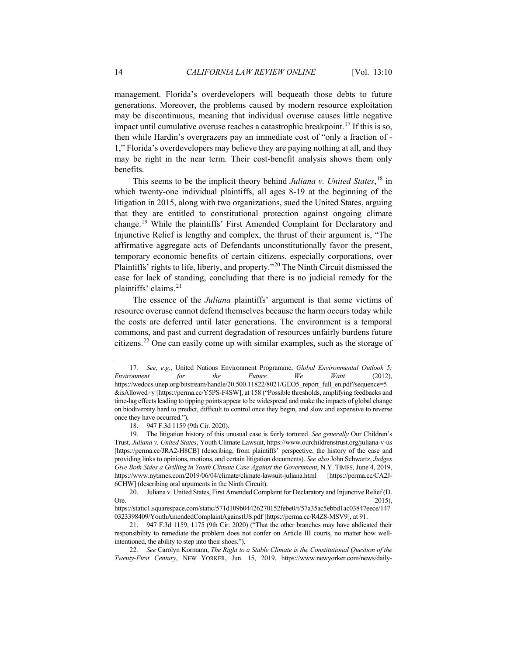management. Florida's overdevelopers will bequeath those debts to future generations. Moreover, the problems caused by modern resource exploitation may be discontinuous, meaning that individual overuse causes little negative impact until cumulative overuse reaches a catastrophic breakpoint.<sup>[17](#page-4-0)</sup> If this is so, then while Hardin's overgrazers pay an immediate cost of "only a fraction of - 1," Florida's overdevelopers may believe they are paying nothing at all, and they may be right in the near term. Their cost-benefit analysis shows them only benefits.

This seems to be the implicit theory behind *Juliana v. United States*, [18](#page-4-1) in which twenty-one individual plaintiffs, all ages 8-19 at the beginning of the litigation in 2015, along with two organizations, sued the United States, arguing that they are entitled to constitutional protection against ongoing climate change.[19](#page-4-2) While the plaintiffs' First Amended Complaint for Declaratory and Injunctive Relief is lengthy and complex, the thrust of their argument is, "The affirmative aggregate acts of Defendants unconstitutionally favor the present, temporary economic benefits of certain citizens, especially corporations, over Plaintiffs' rights to life, liberty, and property."<sup>[20](#page-4-3)</sup> The Ninth Circuit dismissed the case for lack of standing, concluding that there is no judicial remedy for the plaintiffs' claims.<sup>[21](#page-4-4)</sup>

The essence of the *Juliana* plaintiffs' argument is that some victims of resource overuse cannot defend themselves because the harm occurs today while the costs are deferred until later generations. The environment is a temporal commons, and past and current degradation of resources unfairly burdens future citizens.[22](#page-4-5) One can easily come up with similar examples, such as the storage of

<span id="page-4-0"></span><sup>17</sup>*. See, e.g.*, United Nations Environment Programme, *Global Environmental Outlook 5: Environment for the Future We Want* (2012), https://wedocs.unep.org/bitstream/handle/20.500.11822/8021/GEO5\_report\_full\_en.pdf?sequence=5 &isAllowed=y [https://perma.cc/Y5PS-F4SW], at 158 ("Possible thresholds, amplifying feedbacks and time-lag effects leading to tipping points appear to be widespread and make the impacts of global change on biodiversity hard to predict, difficult to control once they begin, and slow and expensive to reverse once they have occurred.").

<sup>18.</sup> 947 F.3d 1159 (9th Cir. 2020).

<span id="page-4-2"></span><span id="page-4-1"></span><sup>19.</sup> The litigation history of this unusual case is fairly tortured. *See generally* Our Children's Trust, *Juliana v. United States*, Youth Climate Lawsuit, https://www.ourchildrenstrust.org/juliana-v-us [https://perma.cc/JRA2-H8CB] (describing, from plaintiffs' perspective, the history of the case and providing links to opinions, motions, and certain litigation documents). *See also* John Schwartz, *Judges Give Both Sides a Grilling in Youth Climate Case Against the Government*, N.Y. TIMES, June 4, 2019, https://www.nytimes.com/2019/06/04/climate/climate-lawsuit-juliana.html [https://perma.cc/CA2J-6CHW] (describing oral arguments in the Ninth Circuit).

<span id="page-4-3"></span><sup>20.</sup> Juliana v. United States, First Amended Complaint for Declaratory and Injunctive Relief (D. Ore.  $2015$ ,

https://static1.squarespace.com/static/571d109b04426270152febe0/t/57a35ac5ebbd1ac03847eece/147 0323398409/YouthAmendedComplaintAgainstUS.pdf [https://perma.cc/R4Z8-MSV9], at 91.

<span id="page-4-4"></span><sup>21.</sup> 947 F.3d 1159, 1175 (9th Cir. 2020) ("That the other branches may have abdicated their responsibility to remediate the problem does not confer on Article III courts, no matter how wellintentioned, the ability to step into their shoes.").

<span id="page-4-5"></span><sup>22</sup>*. See* Carolyn Kormann, *The Right to a Stable Climate is the Constitutional Question of the Twenty-First Century*, NEW YORKER, Jun. 15, 2019, https://www.newyorker.com/news/daily-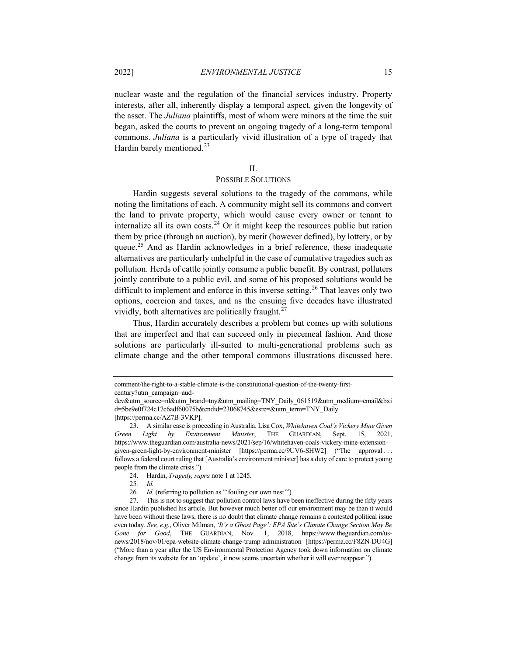nuclear waste and the regulation of the financial services industry. Property interests, after all, inherently display a temporal aspect, given the longevity of the asset. The *Juliana* plaintiffs, most of whom were minors at the time the suit began, asked the courts to prevent an ongoing tragedy of a long-term temporal commons. *Juliana* is a particularly vivid illustration of a type of tragedy that Hardin barely mentioned.<sup>[23](#page-5-0)</sup>

#### II.

## POSSIBLE SOLUTIONS

Hardin suggests several solutions to the tragedy of the commons, while noting the limitations of each. A community might sell its commons and convert the land to private property, which would cause every owner or tenant to internalize all its own costs.<sup>[24](#page-5-1)</sup> Or it might keep the resources public but ration them by price (through an auction), by merit (however defined), by lottery, or by queue.<sup>[25](#page-5-2)</sup> And as Hardin acknowledges in a brief reference, these inadequate alternatives are particularly unhelpful in the case of cumulative tragedies such as pollution. Herds of cattle jointly consume a public benefit. By contrast, polluters jointly contribute to a public evil, and some of his proposed solutions would be difficult to implement and enforce in this inverse setting.<sup>[26](#page-5-3)</sup> That leaves only two options, coercion and taxes, and as the ensuing five decades have illustrated vividly, both alternatives are politically fraught.<sup>[27](#page-5-4)</sup>

Thus, Hardin accurately describes a problem but comes up with solutions that are imperfect and that can succeed only in piecemeal fashion. And those solutions are particularly ill-suited to multi-generational problems such as climate change and the other temporal commons illustrations discussed here.

comment/the-right-to-a-stable-climate-is-the-constitutional-question-of-the-twenty-first-

century?utm\_campaign=aud-

dev&utm\_source=nl&utm\_brand=tny&utm\_mailing=TNY\_Daily\_061519&utm\_medium=email&bxi d=5be9e0f724c17c6adf60075b&cndid=23068745&esrc=&utm\_term=TNY\_Daily [https://perma.cc/AZ7B-3VKP].

<span id="page-5-0"></span><sup>23.</sup> A similar case is proceeding in Australia. Lisa Cox, *Whitehaven Coal's Vickery Mine Given Green Light by Environment Minister*, THE GUARDIAN, Sept. 15, 2021, https://www.theguardian.com/australia-news/2021/sep/16/whitehaven-coals-vickery-mine-extensiongiven-green-light-by-environment-minister [https://perma.cc/9UV6-SHW2] ("The approval ...

<span id="page-5-1"></span>follows a federal court ruling that [Australia's environment minister] has a duty of care to protect young people from the climate crisis.").

<sup>24.</sup> Hardin, *Tragedy, supra* not[e 1](#page-0-2) at 1245.

<sup>25</sup>*. Id.*

<sup>26</sup>*. Id.* (referring to pollution as "'fouling our own nest'").

<span id="page-5-4"></span><span id="page-5-3"></span><span id="page-5-2"></span><sup>27.</sup> This is not to suggest that pollution control laws have been ineffective during the fifty years since Hardin published his article. But however much better off our environment may be than it would have been without these laws, there is no doubt that climate change remains a contested political issue even today. *See, e.g.*, Oliver Milman, *'It's a Ghost Page': EPA Site's Climate Change Section May Be Gone for Good*, THE GUARDIAN, Nov. 1, 2018, https://www.theguardian.com/usnews/2018/nov/01/epa-website-climate-change-trump-administration [https://perma.cc/F8ZN-DU4G] ("More than a year after the US Environmental Protection Agency took down information on climate change from its website for an 'update', it now seems uncertain whether it will ever reappear.").